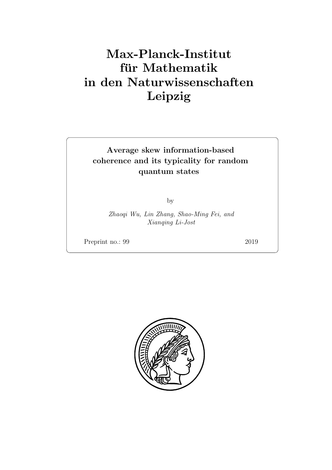# Max-Planck-Institut für Mathematik in den Naturwissenschaften Leipzig

## Average skew information-based coherence and its typicality for random quantum states

by

Zhaoqi Wu, Lin Zhang, Shao-Ming Fei, and Xianqing Li-Jost

Preprint no.: 99 2019

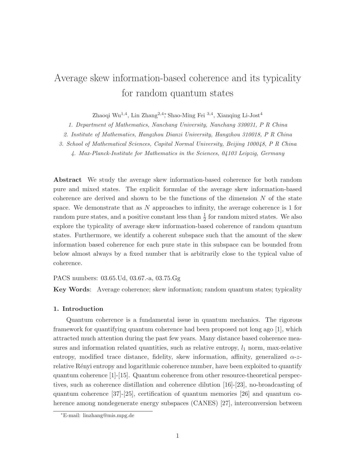## Average skew information-based coherence and its typicality for random quantum states

Zhaoqi Wu1,<sup>4</sup> , Lin Zhang2,4<sup>∗</sup> , Shao-Ming Fei <sup>3</sup>,<sup>4</sup> , Xianqing Li-Jost<sup>4</sup>

1. Department of Mathematics, Nanchang University, Nanchang 330031, P R China

2. Institute of Mathematics, Hangzhou Dianzi University, Hangzhou 310018, P R China

3. School of Mathematical Sciences, Capital Normal University, Beijing 100048, P R China

4. Max-Planck-Institute for Mathematics in the Sciences, 04103 Leipzig, Germany

Abstract We study the average skew information-based coherence for both random pure and mixed states. The explicit formulae of the average skew information-based coherence are derived and shown to be the functions of the dimension  $N$  of the state space. We demonstrate that as  $N$  approaches to infinity, the average coherence is 1 for random pure states, and a positive constant less than  $\frac{1}{2}$  for random mixed states. We also explore the typicality of average skew information-based coherence of random quantum states. Furthermore, we identify a coherent subspace such that the amount of the skew information based coherence for each pure state in this subspace can be bounded from below almost always by a fixed number that is arbitrarily close to the typical value of coherence.

#### PACS numbers: 03.65.Ud, 03.67.-a, 03.75.Gg

Key Words: Average coherence; skew information; random quantum states; typicality

#### 1. Introduction

Quantum coherence is a fundamental issue in quantum mechanics. The rigorous framework for quantifying quantum coherence had been proposed not long ago [\[1\]](#page-16-0), which attracted much attention during the past few years. Many distance based coherence measures and information related quantities, such as relative entropy,  $l_1$  norm, max-relative entropy, modified trace distance, fidelity, skew information, affinity, generalized  $\alpha$ -zrelative Rényi entropy and logarithmic coherence number, have been exploited to quantify quantum coherence [\[1\]](#page-16-0)-[\[15\]](#page-17-0). Quantum coherence from other resource-theoretical perspectives, such as coherence distillation and coherence dilution [\[16\]](#page-17-1)-[\[23\]](#page-17-2), no-broadcasting of quantum coherence [\[37\]](#page-18-0)-[\[25\]](#page-18-1), certification of quantum memories [\[26\]](#page-18-2) and quantum coherence among nondegenerate energy subspaces (CANES) [\[27\]](#page-18-3), interconversion between

<sup>∗</sup>E-mail: linzhang@mis.mpg.de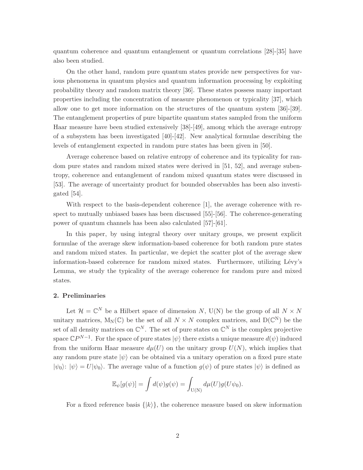quantum coherence and quantum entanglement or quantum correlations [\[28\]](#page-18-4)-[\[35\]](#page-18-5) have also been studied.

On the other hand, random pure quantum states provide new perspectives for various phenomena in quantum physics and quantum information processing by exploiting probability theory and random matrix theory [\[36\]](#page-18-6). These states possess many important properties including the concentration of measure phenomenon or typicality [\[37\]](#page-18-0), which allow one to get more information on the structures of the quantum system [\[36\]](#page-18-6)-[\[39\]](#page-19-0). The entanglement properties of pure bipartite quantum states sampled from the uniform Haar measure have been studied extensively [\[38\]](#page-18-7)-[\[49\]](#page-19-1), among which the average entropy of a subsystem has been investigated [\[40\]](#page-19-2)-[\[42\]](#page-19-3). New analytical formulae describing the levels of entanglement expected in random pure states has been given in [\[50\]](#page-19-4).

Average coherence based on relative entropy of coherence and its typicality for random pure states and random mixed states were derived in [\[51,](#page-19-5) [52\]](#page-19-6), and average subentropy, coherence and entanglement of random mixed quantum states were discussed in [\[53\]](#page-19-7). The average of uncertainty product for bounded observables has been also investigated [\[54\]](#page-19-8).

With respect to the basis-dependent coherence [\[1\]](#page-16-0), the average coherence with re-spect to mutually unbiased bases has been discussed [\[55\]](#page-19-9)-[\[56\]](#page-20-0). The coherence-generating power of quantum channels has been also calculated [\[57\]](#page-20-1)-[\[61\]](#page-20-2).

In this paper, by using integral theory over unitary groups, we present explicit formulae of the average skew information-based coherence for both random pure states and random mixed states. In particular, we depict the scatter plot of the average skew information-based coherence for random mixed states. Furthermore, utilizing Lévy's Lemma, we study the typicality of the average coherence for random pure and mixed states.

## 2. Preliminaries

Let  $\mathcal{H} = \mathbb{C}^N$  be a Hilbert space of dimension N, U(N) be the group of all  $N \times N$ unitary matrices,  $M_N(\mathbb{C})$  be the set of all  $N \times N$  complex matrices, and  $D(\mathbb{C}^N)$  be the set of all density matrices on  $\mathbb{C}^N$ . The set of pure states on  $\mathbb{C}^N$  is the complex projective space  $\mathbb{C}P^{N-1}$ . For the space of pure states  $|\psi\rangle$  there exists a unique measure  $d(\psi)$  induced from the uniform Haar measure  $d\mu(U)$  on the unitary group  $U(N)$ , which implies that any random pure state  $|\psi\rangle$  can be obtained via a unitary operation on a fixed pure state  $|\psi_0\rangle$ :  $|\psi_0\rangle = U|\psi_0\rangle$ . The average value of a function  $q(\psi)$  of pure states  $|\psi\rangle$  is defined as

$$
\mathbb{E}_{\psi}[g(\psi)] = \int d(\psi)g(\psi) = \int_{U(N)} d\mu(U)g(U\psi_0).
$$

For a fixed reference basis  $\{|k\rangle\}$ , the coherence measure based on skew information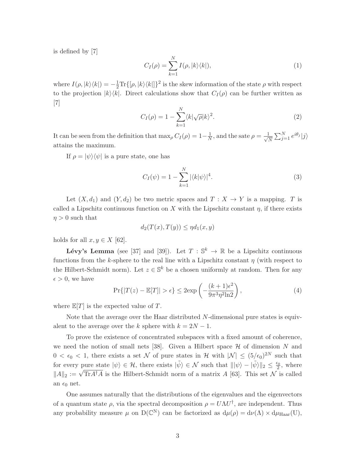is defined by [\[7\]](#page-16-1)

$$
C_I(\rho) = \sum_{k=1}^{N} I(\rho, |k\rangle\langle k|), \qquad (1)
$$

where  $I(\rho, |k\rangle\langle k|) = -\frac{1}{2}\text{Tr}\{[\rho, |k\rangle\langle k|]\}^2$  is the skew information of the state  $\rho$  with respect to the projection  $|k\rangle\langle k|$ . Direct calculations show that  $C_I(\rho)$  can be further written as [\[7\]](#page-16-1)

$$
C_I(\rho) = 1 - \sum_{k=1}^{N} \langle k | \sqrt{\rho} | k \rangle^2.
$$
 (2)

It can be seen from the definition that  $\max_{\rho} C_I(\rho) = 1 - \frac{1}{N}$  $\frac{1}{N}$ , and the sate  $\rho = \frac{1}{\sqrt{N}}$  $\frac{1}{N} \sum_{j=1}^{N} e^{i\theta_j} |j\rangle$ attains the maximum.

If  $\rho = |\psi\rangle\langle\psi|$  is a pure state, one has

<span id="page-4-0"></span>
$$
C_I(\psi) = 1 - \sum_{k=1}^{N} |\langle k | \psi \rangle|^4.
$$
 (3)

Let  $(X, d_1)$  and  $(Y, d_2)$  be two metric spaces and  $T : X \to Y$  is a mapping. T is called a Lipschitz continuous function on X with the Lipschitz constant  $\eta$ , if there exists  $\eta > 0$  such that

$$
d_2(T(x), T(y)) \le \eta d_1(x, y)
$$

holds for all  $x, y \in X$  [\[62\]](#page-20-3).

**Lévy's Lemma** (see [\[37\]](#page-18-0) and [\[39\]](#page-19-0)). Let  $T : \mathbb{S}^k \to \mathbb{R}$  be a Lipschitz continuous functions from the k-sphere to the real line with a Lipschitz constant  $\eta$  (with respect to the Hilbert-Schmidt norm). Let  $z \in \mathbb{S}^k$  be a chosen uniformly at random. Then for any  $\epsilon > 0$ , we have

<span id="page-4-1"></span>
$$
\Pr\{|T(z) - \mathbb{E}[T]| > \epsilon\} \le 2 \exp\left(-\frac{(k+1)\epsilon^2}{9\pi^3 \eta^2 \ln 2}\right),\tag{4}
$$

where  $\mathbb{E}[T]$  is the expected value of T.

Note that the average over the Haar distributed N-dimensional pure states is equivalent to the average over the k sphere with  $k = 2N - 1$ .

To prove the existence of concentrated subspaces with a fixed amount of coherence, we need the notion of small nets [\[38\]](#page-18-7). Given a Hilbert space  $\mathcal H$  of dimension N and  $0 < \epsilon_0 < 1$ , there exists a set N of pure states in H with  $|\mathcal{N}| \leq (5/\epsilon_0)^{2N}$  such that for every pure state  $|\psi\rangle \in \mathcal{H}$ , there exists  $|\tilde{\psi}\rangle \in \mathcal{N}$  such that  $\|\psi\rangle - \|\tilde{\psi}\rangle\|_2 \leq \frac{\epsilon_0}{2}$  $\frac{\varepsilon_0}{2}$ , where  $||A||_2 := \sqrt{\text{Tr}A^{\dagger}A}$  is the Hilbert-Schmidt norm of a matrix A [\[63\]](#page-20-4). This set N is called an  $\epsilon_0$  net.

One assumes naturally that the distributions of the eigenvalues and the eigenvectors of a quantum state  $\rho$ , via the spectral decomposition  $\rho = U \Lambda U^{\dagger}$ , are independent. Thus any probability measure  $\mu$  on  $D(\mathbb{C}^N)$  can be factorized as  $d\mu(\rho) = d\nu(\Lambda) \times d\mu_{Haar}(U)$ ,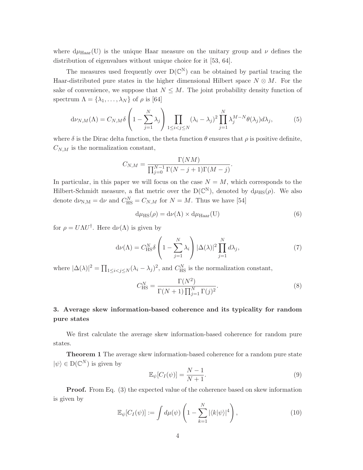where  $d\mu_{\text{Haar}}(U)$  is the unique Haar measure on the unitary group and  $\nu$  defines the distribution of eigenvalues without unique choice for it [\[53,](#page-19-7) [64\]](#page-20-5).

The measures used frequently over  $D(\mathbb{C}^N)$  can be obtained by partial tracing the Haar-distributed pure states in the higher dimensional Hilbert space  $N \otimes M$ . For the sake of convenience, we suppose that  $N \leq M$ . The joint probability density function of spectrum  $\Lambda = {\lambda_1, ..., \lambda_N}$  of  $\rho$  is [\[64\]](#page-20-5)

$$
d\nu_{N,M}(\Lambda) = C_{N,M} \delta \left( 1 - \sum_{j=1}^N \lambda_j \right) \prod_{1 \le i < j \le N} (\lambda_i - \lambda_j)^2 \prod_{j=1}^N \lambda_j^{M-N} \theta(\lambda_j) d\lambda_j,\tag{5}
$$

where  $\delta$  is the Dirac delta function, the theta function  $\theta$  ensures that  $\rho$  is positive definite,  $C_{N,M}$  is the normalization constant,

$$
C_{N,M} = \frac{\Gamma(NM)}{\prod_{j=0}^{N-1} \Gamma(N-j+1)\Gamma(M-j)}.
$$

In particular, in this paper we will focus on the case  $N = M$ , which corresponds to the Hilbert-Schmidt measure, a flat metric over the  $D(\mathbb{C}^N)$ , denoted by  $d\mu_{HS}(\rho)$ . We also denote  $d\nu_{N,M} = d\nu$  and  $C_{HS}^N = C_{N,M}$  for  $N = M$ . Thus we have [\[54\]](#page-19-8)

<span id="page-5-1"></span>
$$
d\mu_{HS}(\rho) = d\nu(\Lambda) \times d\mu_{Haar}(U)
$$
\n(6)

for  $\rho = U \Lambda U^{\dagger}$ . Here  $d\nu(\Lambda)$  is given by

$$
d\nu(\Lambda) = C_{\text{HS}}^N \delta \left( 1 - \sum_{j=1}^N \lambda_j \right) |\Delta(\lambda)|^2 \prod_{j=1}^N d\lambda_j,
$$
 (7)

where  $|\Delta(\lambda)|^2 = \prod_{1 \le i < j \le N} (\lambda_i - \lambda_j)^2$ , and  $C_{\text{HS}}^N$  is the normalization constant,

<span id="page-5-2"></span>
$$
C_{\rm HS}^N = \frac{\Gamma(N^2)}{\Gamma(N+1)\prod_{j=1}^N \Gamma(j)^2}.
$$
\n(8)

## 3. Average skew information-based coherence and its typicality for random pure states

We first calculate the average skew information-based coherence for random pure states.

Theorem 1 The average skew information-based coherence for a random pure state  $|\psi\rangle \in D(\mathbb{C}^N)$  is given by

<span id="page-5-0"></span>
$$
\mathbb{E}_{\psi}[C_I(\psi)] = \frac{N-1}{N+1}.\tag{9}
$$

**Proof.** From Eq. [\(3\)](#page-4-0) the expected value of the coherence based on skew information is given by

$$
\mathbb{E}_{\psi}[C_I(\psi)] := \int d\mu(\psi) \left(1 - \sum_{k=1}^N |\langle k|\psi \rangle|^4\right),\tag{10}
$$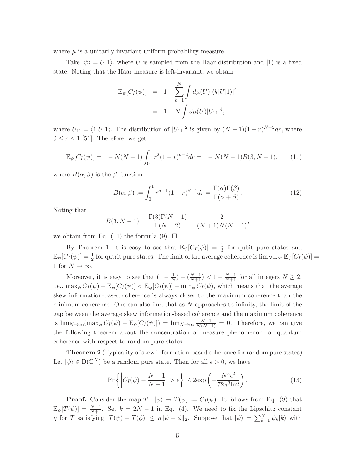where  $\mu$  is a unitarily invariant uniform probability measure.

Take  $|\psi\rangle = U|1\rangle$ , where U is sampled from the Haar distribution and  $|1\rangle$  is a fixed state. Noting that the Haar measure is left-invariant, we obtain

$$
\mathbb{E}_{\psi}[C_I(\psi)] = 1 - \sum_{k=1}^{N} \int d\mu(U) |\langle k|U|1\rangle|^4
$$
  
= 1 - N  $\int d\mu(U) |U_{11}|^4$ ,

where  $U_{11} = \langle 1|U|1 \rangle$ . The distribution of  $|U_{11}|^2$  is given by  $(N-1)(1-r)^{N-2}dr$ , where  $0 \leq r \leq 1$  [\[51\]](#page-19-5). Therefore, we get

<span id="page-6-0"></span>
$$
\mathbb{E}_{\psi}[C_I(\psi)] = 1 - N(N-1) \int_0^1 r^2 (1-r)^{d-2} dr = 1 - N(N-1)B(3, N-1), \tag{11}
$$

where  $B(\alpha, \beta)$  is the  $\beta$  function

$$
B(\alpha, \beta) := \int_0^1 r^{\alpha - 1} (1 - r)^{\beta - 1} dr = \frac{\Gamma(\alpha)\Gamma(\beta)}{\Gamma(\alpha + \beta)}.
$$
 (12)

Noting that

$$
B(3, N - 1) = \frac{\Gamma(3)\Gamma(N - 1)}{\Gamma(N + 2)} = \frac{2}{(N + 1)N(N - 1)},
$$

we obtain from Eq. [\(11\)](#page-6-0) the formula [\(9\)](#page-5-0).  $\Box$ 

By Theorem 1, it is easy to see that  $\mathbb{E}_{\psi}[C_I(\psi)] = \frac{1}{3}$  for qubit pure states and  $\mathbb{E}_{\psi}[C_I(\psi)] = \frac{1}{2}$  for qutrit pure states. The limit of the average coherence is  $\lim_{N\to\infty} \mathbb{E}_{\psi}[C_I(\psi)] =$ 1 for  $N \to \infty$ .

Moreover, it is easy to see that  $(1 - \frac{1}{N})$  $\frac{1}{N}$ ) –  $\left(\frac{N-1}{N+1}\right)$  < 1 –  $\frac{N-1}{N+1}$  for all integers  $N \ge 2$ , i.e.,  $\max_{\psi} C_I(\psi) - \mathbb{E}_{\psi}[C_I(\psi)] < \mathbb{E}_{\psi}[C_I(\psi)] - \min_{\psi} C_I(\psi)$ , which means that the average skew information-based coherence is always closer to the maximum coherence than the minimum coherence. One can also find that as  $N$  approaches to infinity, the limit of the gap between the average skew information-based coherence and the maximum coherence is  $\lim_{N\to\infty} (\max_{\psi} C_I(\psi) - \mathbb{E}_{\psi}[C_I(\psi)]) = \lim_{N\to\infty} \frac{N-1}{N(N+1)} = 0$ . Therefore, we can give the following theorem about the concentration of measure phenomenon for quantum coherence with respect to random pure states.

Theorem 2 (Typicality of skew information-based coherence for random pure states) Let  $|\psi\rangle \in D(\mathbb{C}^N)$  be a random pure state. Then for all  $\epsilon > 0$ , we have

<span id="page-6-1"></span>
$$
\Pr\left\{ \left| C_I(\psi) - \frac{N-1}{N+1} \right| > \epsilon \right\} \le 2 \exp\left( -\frac{N^3 \epsilon^2}{72\pi^3 \ln 2} \right). \tag{13}
$$

**Proof.** Consider the map  $T : |\psi\rangle \to T(\psi) := C_I(\psi)$ . It follows from Eq. [\(9\)](#page-5-0) that  $\mathbb{E}_{\psi}[T(\psi)] = \frac{N-1}{N+1}$ . Set  $k = 2N-1$  in Eq. [\(4\)](#page-4-1). We need to fix the Lipschitz constant  $\eta$  for T satisfying  $|T(\psi) - T(\phi)| \leq \eta \|\psi - \phi\|_2$ . Suppose that  $|\psi\rangle = \sum_{k=1}^{N} \psi_k |k\rangle$  with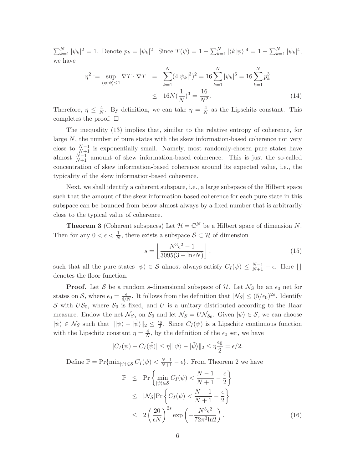$\sum_{k=1}^{N} |\psi_k|^2 = 1$ . Denote  $p_k = |\psi_k|^2$ . Since  $T(\psi) = 1 - \sum_{k=1}^{N} |\langle k|\psi \rangle|^4 = 1 - \sum_{k=1}^{N} |\psi_k|^4$ , we have

$$
\eta^2 := \sup_{\langle \psi | \psi \rangle \le 1} \nabla T \cdot \nabla T = \sum_{k=1}^N (4|\psi_k|^3)^2 = 16 \sum_{k=1}^N |\psi_k|^6 = 16 \sum_{k=1}^N p_k^3
$$
  
 
$$
\le 16N(\frac{1}{N})^3 = \frac{16}{N^2}.
$$
 (14)

Therefore,  $\eta \leq \frac{4}{N}$  $\frac{4}{N}$ . By definition, we can take  $\eta = \frac{4}{N}$  $\frac{4}{N}$  as the Lipschitz constant. This completes the proof.  $\square$ 

The inequality [\(13\)](#page-6-1) implies that, similar to the relative entropy of coherence, for large  $N$ , the number of pure states with the skew information-based coherence not very close to  $\frac{N-1}{N+1}$  is exponentially small. Namely, most randomly-chosen pure states have almost  $\frac{N-1}{N+1}$  amount of skew information-based coherence. This is just the so-called concentration of skew information-based coherence around its expected value, i.e., the typicality of the skew information-based coherence.

Next, we shall identify a coherent subspace, i.e., a large subspace of the Hilbert space such that the amount of the skew information-based coherence for each pure state in this subspace can be bounded from below almost always by a fixed number that is arbitrarily close to the typical value of coherence.

**Theorem 3** (Coherent subspaces) Let  $\mathcal{H} = \mathbb{C}^N$  be a Hilbert space of dimension N. Then for any  $0 < \epsilon < \frac{1}{N}$ , there exists a subspace  $S \subset \mathcal{H}$  of dimension

$$
s = \left\lfloor \frac{N^3 \epsilon^2 - 1}{3095(3 - \ln \epsilon N)} \right\rfloor,\tag{15}
$$

such that all the pure states  $|\psi\rangle \in \mathcal{S}$  almost always satisfy  $C_I(\psi) \leq \frac{N-1}{N+1} - \epsilon$ . Here  $\lfloor \rfloor$ denotes the floor function.

**Proof.** Let S be a random s-dimensional subspace of  $H$ . Let  $\mathcal{N}_S$  be an  $\epsilon_0$  net for states on S, where  $\epsilon_0 = \frac{\epsilon}{4/N}$ . It follows from the definition that  $|\mathcal{N}_S| \leq (5/\epsilon_0)^{2s}$ . Identify S with  $US_0$ , where  $S_0$  is fixed, and U is a unitary distributed according to the Haar measure. Endow the net  $\mathcal{N}_{S_0}$  on  $\mathcal{S}_0$  and let  $\mathcal{N}_S = U \mathcal{N}_{S_0}$ . Given  $|\psi\rangle \in \mathcal{S}$ , we can choose  $|\tilde{\psi}\rangle \in \mathcal{N}_S$  such that  $\|\psi\rangle - \tilde{\psi}\|_2 \leq \frac{\epsilon_0}{2}$  $\frac{\varepsilon_0}{2}$ . Since  $C_I(\psi)$  is a Lipschitz continuous function with the Lipschitz constant  $\eta = \frac{4}{N}$  $\frac{4}{N}$ , by the definition of the  $\epsilon_0$  set, we have

$$
|C_I(\psi) - C_I(\tilde{\psi})| \le \eta ||\psi\rangle - |\tilde{\psi}\rangle||_2 \le \eta \frac{\epsilon_0}{2} = \epsilon/2.
$$

Define  $\mathbb{P} = \Pr{\min_{|\psi\rangle \in \mathcal{S}} C_I(\psi) < \frac{N-1}{N+1} - \epsilon}$ . From Theorem 2 we have

$$
\mathbb{P} \le \Pr\left\{\min_{|\psi\rangle\in\mathcal{S}} C_I(\psi) < \frac{N-1}{N+1} - \frac{\epsilon}{2}\right\} \\
\le |\mathcal{N}_S| \Pr\left\{C_I(\psi) < \frac{N-1}{N+1} - \frac{\epsilon}{2}\right\} \\
\le 2\left(\frac{20}{\epsilon N}\right)^{2s} \exp\left(-\frac{N^3 \epsilon^2}{72\pi^3 \ln 2}\right). \tag{16}
$$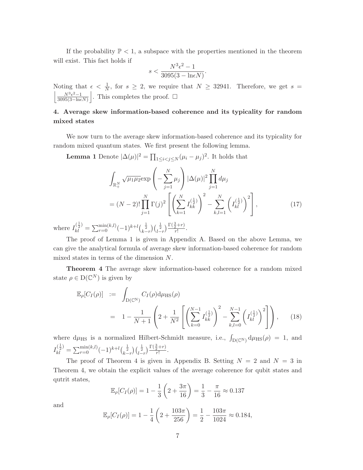If the probability  $\mathbb{P} < 1$ , a subspace with the properties mentioned in the theorem will exist. This fact holds if

$$
s < \frac{N^3 \epsilon^2 - 1}{3095(3 - \ln \epsilon N)}.
$$

Noting that  $\epsilon < \frac{1}{N}$ , for  $s \geq 2$ , we require that  $N \geq 32941$ . Therefore, we get  $s = \left| \frac{N^3 \epsilon^2 - 1}{N^3 \epsilon^2 - 1} \right|$  This completes the proof.  $\frac{N^3\epsilon^2-1}{N^2(2\epsilon-1)}$  $3095(3-\ln\epsilon N)$ . This completes the proof.  $\square$ 

## 4. Average skew information-based coherence and its typicality for random mixed states

We now turn to the average skew information-based coherence and its typicality for random mixed quantum states. We first present the following lemma.

**Lemma 1** Denote  $|\Delta(\mu)|^2 = \prod_{1 \leq i < j \leq N} (\mu_i - \mu_j)^2$ . It holds that

<span id="page-8-1"></span>
$$
\int_{\mathbb{R}_+^N} \sqrt{\mu_1 \mu_2} \exp\left(-\sum_{j=1}^N \mu_j\right) |\Delta(\mu)|^2 \prod_{j=1}^N d\mu_j
$$
\n
$$
= (N-2)! \prod_{j=1}^N \Gamma(j)^2 \left[ \left(\sum_{k=1}^N I_{kk}^{(\frac{1}{2})}\right)^2 - \sum_{k,l=1}^N \left(I_{kl}^{(\frac{1}{2})}\right)^2 \right],
$$
\n(17)

where  $I_{kl}^{\left(\frac{1}{2}\right)} = \sum_{r=0}^{\min(k,l)} (-1)^{k+l} {1 \over (k-r)} \left(\frac{1}{2} \over 1-r\right) \frac{\Gamma(\frac{3}{2}+r)}{r!}$  $\frac{2^{r}}{r!}$ .

The proof of Lemma 1 is given in Appendix A. Based on the above Lemma, we can give the analytical formula of average skew information-based coherence for random mixed states in terms of the dimension N.

Theorem 4 The average skew information-based coherence for a random mixed state  $\rho \in D(\mathbb{C}^N)$  is given by

<span id="page-8-0"></span>
$$
\mathbb{E}_{\rho}[C_{I}(\rho)] := \int_{D(\mathbb{C}^{N})} C_{I}(\rho) d\mu_{HS}(\rho)
$$
  
=  $1 - \frac{1}{N+1} \left( 2 + \frac{1}{N^{2}} \left[ \left( \sum_{k=0}^{N-1} I_{kk}^{(\frac{1}{2})} \right)^{2} - \sum_{k,l=0}^{N-1} \left( I_{kl}^{(\frac{1}{2})} \right)^{2} \right] \right),$  (18)

where  $d\mu_{\text{HS}}$  is a normalized Hilbert-Schmidt measure, i.e.,  $\int_{D(\mathbb{C}^N)} d\mu_{\text{HS}}(\rho) = 1$ , and  $I_{kl}^{(\frac{1}{2})} = \sum_{r=0}^{\min(k,l)} (-1)^{k+l} {(\frac{1}{2}) \choose k-r} {(\frac{1}{2}) \over {r!}} \frac{\Gamma(\frac{3}{2}+r)}{r!}$  $\frac{2^{T'}}{r!}$ .

The proof of Theorem 4 is given in Appendix B. Setting  $N = 2$  and  $N = 3$  in Theorem 4, we obtain the explicit values of the average coherence for qubit states and qutrit states,

$$
\mathbb{E}_{\rho}[C_I(\rho)] = 1 - \frac{1}{3} \left( 2 + \frac{3\pi}{16} \right) = \frac{1}{3} - \frac{\pi}{16} \approx 0.137
$$

and

$$
\mathbb{E}_{\rho}[C_I(\rho)] = 1 - \frac{1}{4} \left( 2 + \frac{103\pi}{256} \right) = \frac{1}{2} - \frac{103\pi}{1024} \approx 0.184,
$$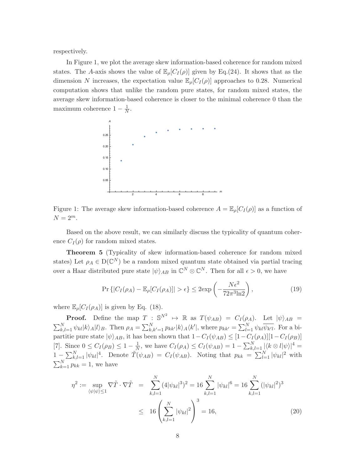respectively.

In Figure 1, we plot the average skew information-based coherence for random mixed states. The A-axis shows the value of  $\mathbb{E}_{\rho}[C_I(\rho)]$  given by Eq.[\(24\)](#page-13-0). It shows that as the dimension N increases, the expectation value  $\mathbb{E}_{\rho}[C_I(\rho)]$  approaches to 0.28. Numerical computation shows that unlike the random pure states, for random mixed states, the average skew information-based coherence is closer to the minimal coherence 0 than the maximum coherence  $1 - \frac{1}{N}$  $\frac{1}{N}$  .



Figure 1: The average skew information-based coherence  $A = \mathbb{E}_{\rho}[C_I(\rho)]$  as a function of  $N = 2^m$ .

Based on the above result, we can similarly discuss the typicality of quantum coherence  $C_I(\rho)$  for random mixed states.

Theorem 5 (Typicality of skew information-based coherence for random mixed states) Let  $\rho_A \in D(\mathbb{C}^N)$  be a random mixed quantum state obtained via partial tracing over a Haar distributed pure state  $|\psi\rangle_{AB}$  in  $\mathbb{C}^N \otimes \mathbb{C}^N$ . Then for all  $\epsilon > 0$ , we have

$$
\Pr\left\{|C_I(\rho_A) - \mathbb{E}_{\rho}[C_I(\rho_A)]| > \epsilon\right\} \le 2 \exp\left(-\frac{N\epsilon^2}{72\pi^3 \ln 2}\right),\tag{19}
$$

where  $\mathbb{E}_{\rho}[C_I(\rho_A)]$  is given by Eq. [\(18\)](#page-8-0).

**Proof.** Define the map  $T : \mathbb{S}^{N^2} \to \mathbb{R}$  as  $T(\psi_{AB}) = C_I(\rho_A)$ . Let  $|\psi\rangle_{AB} =$  $\sum_{k,l=1}^N \psi_{kl} |k\rangle_A |l\rangle_B$ . Then  $\rho_A = \sum_{k,k'=1}^N p_{kk'} |k\rangle_A \langle k'|$ , where  $p_{kk'} = \sum_{l=1}^N \psi_{kl} \overline{\psi_{k'l}}$ . For a bipartitie pure state  $|\psi\rangle_{AB}$ , it has been shown that  $1-C_I(\psi_{AB}) \leq [1-C_I(\rho_A)][1-C_I(\rho_B)]$ [\[7\]](#page-16-1). Since  $0 \le C_I(\rho_B) \le 1 - \frac{1}{N}$  $\frac{1}{N}$ , we have  $C_I(\rho_A) \leq C_I(\psi_{AB}) = 1 - \sum_{k,l=1}^N |\langle k \otimes l | \psi \rangle|^4 =$  $1 - \sum_{k,l=1}^{N} |\psi_{kl}|^4$ . Denote  $\tilde{T}(\psi_{AB}) = C_I(\psi_{AB})$ . Noting that  $p_{kk} = \sum_{l=1}^{N} |\psi_{kl}|^2$  with  $\sum_{k=1}^{N} p_{kk} = 1$ , we have

$$
\eta^2 := \sup_{\langle \psi | \psi \rangle \le 1} \nabla \tilde{T} \cdot \nabla \tilde{T} = \sum_{k,l=1}^N (4|\psi_{kl}|^3)^2 = 16 \sum_{k,l=1}^N |\psi_{kl}|^6 = 16 \sum_{k,l=1}^N (|\psi_{kl}|^2)^3
$$
  

$$
\le 16 \left( \sum_{k,l=1}^N |\psi_{kl}|^2 \right)^3 = 16,
$$
 (20)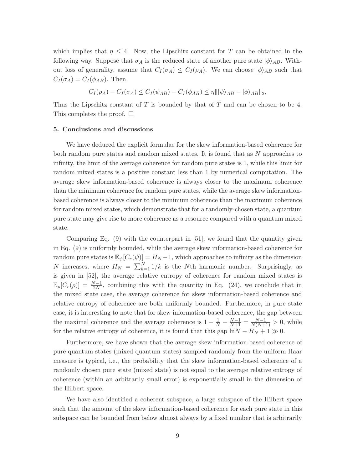which implies that  $\eta \leq 4$ . Now, the Lipschitz constant for T can be obtained in the following way. Suppose that  $\sigma_A$  is the reduced state of another pure state  $|\phi\rangle_{AB}$ . Without loss of generality, assume that  $C_I(\sigma_A) \leq C_I(\rho_A)$ . We can choose  $|\phi\rangle_{AB}$  such that  $C_I(\sigma_A) = C_I(\phi_{AB})$ . Then

$$
C_I(\rho_A) - C_I(\sigma_A) \le C_I(\psi_{AB}) - C_I(\phi_{AB}) \le \eta ||\psi\rangle_{AB} - |\phi\rangle_{AB}||_2,
$$

Thus the Lipschitz constant of T is bounded by that of  $\tilde{T}$  and can be chosen to be 4. This completes the proof.  $\square$ 

#### 5. Conclusions and discussions

We have deduced the explicit formulae for the skew information-based coherence for both random pure states and random mixed states. It is found that as N approaches to infinity, the limit of the average coherence for random pure states is 1, while this limit for random mixed states is a positive constant less than 1 by numerical computation. The average skew information-based coherence is always closer to the maximum coherence than the minimum coherence for random pure states, while the average skew informationbased coherence is always closer to the minimum coherence than the maximum coherence for random mixed states, which demonstrate that for a randomly-chosen state, a quantum pure state may give rise to more coherence as a resource compared with a quantum mixed state.

Comparing Eq.  $(9)$  with the counterpart in [\[51\]](#page-19-5), we found that the quantity given in Eq. (9) is uniformly bounded, while the average skew information-based coherence for random pure states is  $\mathbb{E}_{\psi}[C_r(\psi)] = H_N - 1$ , which approaches to infinity as the dimension N increases, where  $H_N = \sum_{k=1}^{N} 1/k$  is the Nth harmonic number. Surprisingly, as is given in [\[52\]](#page-19-6), the average relative entropy of coherence for random mixed states is  $\mathbb{E}_{\rho}[C_r(\rho)] = \frac{N-1}{2N}$ , combining this with the quantity in Eq. [\(24\)](#page-13-0), we conclude that in the mixed state case, the average coherence for skew information-based coherence and relative entropy of coherence are both uniformly bounded. Furthermore, in pure state case, it is interesting to note that for skew information-based coherence, the gap between the maximal coherence and the average coherence is  $1 - \frac{1}{N} - \frac{N-1}{N+1} = \frac{N-1}{N(N+1)} > 0$ , while for the relative entropy of coherence, it is found that this gap  $\ln N - H_N + 1 \gg 0$ .

Furthermore, we have shown that the average skew information-based coherence of pure quantum states (mixed quantum states) sampled randomly from the uniform Haar measure is typical, i.e., the probability that the skew information-based coherence of a randomly chosen pure state (mixed state) is not equal to the average relative entropy of coherence (within an arbitrarily small error) is exponentially small in the dimension of the Hilbert space.

We have also identified a coherent subspace, a large subspace of the Hilbert space such that the amount of the skew information-based coherence for each pure state in this subspace can be bounded from below almost always by a fixed number that is arbitrarily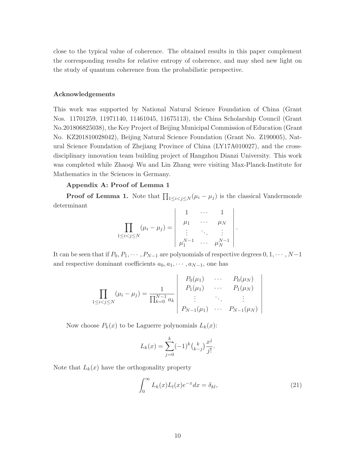close to the typical value of coherence. The obtained results in this paper complement the corresponding results for relative entropy of coherence, and may shed new light on the study of quantum coherence from the probabilistic perspective.

## Acknowledgements

This work was supported by National Natural Science Foundation of China (Grant Nos. 11701259, 11971140, 11461045, 11675113), the China Scholarship Council (Grant No.201806825038), the Key Project of Beijing Municipal Commission of Education (Grant No. KZ201810028042), Beijing Natural Science Foundation (Grant No. Z190005), Natural Science Foundation of Zhejiang Province of China (LY17A010027), and the crossdisciplinary innovation team building project of Hangzhou Dianzi University. This work was completed while Zhaoqi Wu and Lin Zhang were visiting Max-Planck-Institute for Mathematics in the Sciences in Germany.

## Appendix A: Proof of Lemma 1

**Proof of Lemma 1.** Note that  $\prod_{1 \leq i < j \leq N} (\mu_i - \mu_j)$  is the classical Vandermonde determinant

$$
\prod_{1 \leq i < j \leq N} (\mu_i - \mu_j) = \begin{vmatrix} 1 & \cdots & 1 \\ \mu_1 & \cdots & \mu_N \\ \vdots & \ddots & \vdots \\ \mu_1^{N-1} & \cdots & \mu_N^{N-1} \end{vmatrix}.
$$

It can be seen that if  $P_0, P_1, \cdots, P_{N-1}$  are polynomials of respective degrees  $0, 1, \cdots, N-1$ and respective dominant coefficients  $a_0, a_1, \dots, a_{N-1}$ , one has

$$
\prod_{1 \leq i < j \leq N} (\mu_i - \mu_j) = \frac{1}{\prod_{k=0}^{N-1} a_k} \begin{vmatrix} P_0(\mu_1) & \cdots & P_0(\mu_N) \\ P_1(\mu_1) & \cdots & P_1(\mu_N) \\ \vdots & \ddots & \vdots \\ P_{N-1}(\mu_1) & \cdots & P_{N-1}(\mu_N) \end{vmatrix}
$$

Now choose  $P_k(x)$  to be Laguerre polynomials  $L_k(x)$ :

$$
L_k(x) = \sum_{j=0}^k (-1)^k {k \choose k-j} \frac{x^j}{j!}.
$$

Note that  $L_k(x)$  have the orthogonality property

$$
\int_0^\infty L_k(x)L_l(x)e^{-x}dx = \delta_{kl},\tag{21}
$$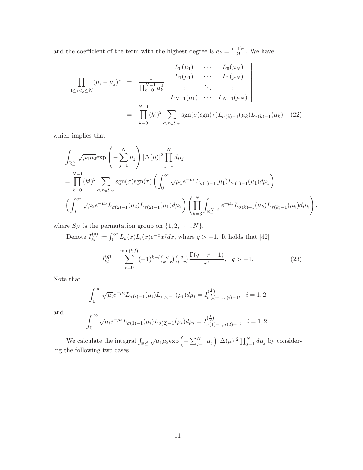and the coefficient of the term with the highest degree is  $a_k = \frac{(-1)^k}{k!}$ . We have

$$
\prod_{1 \leq i < j \leq N} (\mu_i - \mu_j)^2 = \frac{1}{\prod_{k=0}^{N-1} a_k^2} \begin{bmatrix} L_0(\mu_1) & \cdots & L_0(\mu_N) \\ L_1(\mu_1) & \cdots & L_1(\mu_N) \\ \vdots & \ddots & \vdots \\ L_{N-1}(\mu_1) & \cdots & L_{N-1}(\mu_N) \end{bmatrix}
$$
\n
$$
= \prod_{k=0}^{N-1} (k!)^2 \sum_{\sigma, \tau \in S_N} \text{sgn}(\sigma) \text{sgn}(\tau) L_{\sigma(k)-1}(\mu_k) L_{\tau(k)-1}(\mu_k), \quad (22)
$$

which implies that

$$
\int_{\mathbb{R}_+^N} \sqrt{\mu_1 \mu_2} \exp\left(-\sum_{j=1}^N \mu_j\right) |\Delta(\mu)|^2 \prod_{j=1}^N d\mu_j
$$
\n
$$
= \prod_{k=0}^{N-1} (k!)^2 \sum_{\sigma,\tau \in S_N} \text{sgn}(\sigma) \text{sgn}(\tau) \left(\int_0^\infty \sqrt{\mu_1} e^{-\mu_1} L_{\sigma(1)-1}(\mu_1) L_{\tau(1)-1}(\mu_1) d\mu_1\right)
$$
\n
$$
\left(\int_0^\infty \sqrt{\mu_2} e^{-\mu_2} L_{\sigma(2)-1}(\mu_2) L_{\tau(2)-1}(\mu_1) d\mu_2\right) \left(\prod_{k=3}^N \int_{\mathbb{R}_+^{N-2}} e^{-\mu_k} L_{\sigma(k)-1}(\mu_k) L_{\tau(k)-1}(\mu_k) d\mu_k\right),
$$

where  $S_N$  is the permutation group on  $\{1, 2, \cdots, N\}$ .

 $r{=}0$ 

Denote 
$$
I_{kl}^{(q)} := \int_0^\infty L_k(x) L_l(x) e^{-x} x^q dx
$$
, where  $q > -1$ . It holds that [42]  

$$
I_{kl}^{(q)} = \sum_{n=0}^{\min(k,l)} (-1)^{k+l} {q \choose k-r} {q \choose l-r} \frac{\Gamma(q+r+1)}{r!}, \quad q > -1.
$$

 $(23)$ 

Note that

$$
\int_0^\infty \sqrt{\mu_i} e^{-\mu_i} L_{\sigma(i)-1}(\mu_i) L_{\tau(i)-1}(\mu_i) d\mu_i = I_{\sigma(i)-1,\tau(i)-1}^{(\frac{1}{2})}, \quad i = 1, 2
$$

and

$$
\int_0^\infty \sqrt{\mu_i} e^{-\mu_i} L_{\sigma(1)-1}(\mu_i) L_{\sigma(2)-1}(\mu_i) d\mu_i = I_{\sigma(1)-1,\sigma(2)-1}^{(\frac{1}{2})}, \quad i=1,2.
$$

We calculate the integral  $\int_{\mathbb{R}_+^N} \sqrt{\mu_1 \mu_2} \exp \left(-\sum_{j=1}^N \mu_j \right) |\Delta(\mu)|^2 \prod_{j=1}^N d\mu_j$  by considering the following two cases.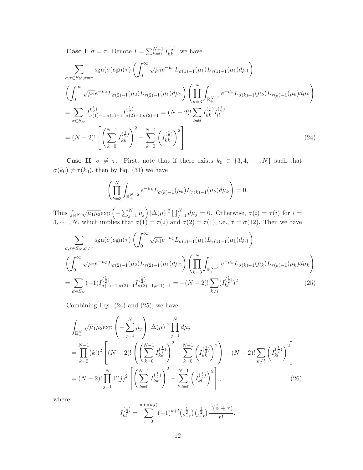**Case I**:  $\sigma = \tau$ . Denote  $I = \sum_{k=0}^{N-1} I_{kk}^{\left(\frac{1}{2}\right)}$ , we have

<span id="page-13-0"></span>
$$
\sum_{\sigma,\tau \in S_N, \sigma=\tau} \text{sgn}(\sigma) \text{sgn}(\tau) \left( \int_0^\infty \sqrt{\mu_1} e^{-\mu_1} L_{\sigma(1)-1}(\mu_1) L_{\tau(1)-1}(\mu_1) d\mu_1 \right)
$$
\n
$$
\left( \int_0^\infty \sqrt{\mu_2} e^{-\mu_2} L_{\sigma(2)-1}(\mu_2) L_{\tau(2)-1}(\mu_1) d\mu_2 \right) \left( \prod_{k=3}^N \int_{\mathbb{R}_+^{N-2}} e^{-\mu_k} L_{\sigma(k)-1}(\mu_k) L_{\tau(k)-1}(\mu_k) d\mu_k \right)
$$
\n
$$
= \sum_{\sigma \in S_N} I_{\sigma(1)-1,\sigma(1)-1}^{(\frac{1}{2})} I_{\sigma(2)-1,\sigma(2)-1}^{(\frac{1}{2})} = (N-2)! \sum_{k \neq l} I_{kk}^{(\frac{1}{2})} I_{ll}^{(\frac{1}{2})}
$$
\n
$$
= (N-2)! \left[ \left( \sum_{k=0}^{N-1} I_{kk}^{(\frac{1}{2})} \right)^2 - \sum_{k=0}^{N-1} \left( I_{kk}^{(\frac{1}{2})} \right)^2 \right]. \tag{24}
$$

**Case II:**  $\sigma \neq \tau$ . First, note that if there exists  $k_0 \in \{3, 4, \cdots, N\}$  such that  $\sigma(k_0) \neq \tau(k_0)$ , then by Eq. [\(31\)](#page-14-0) we have

$$
\left(\prod_{k=3}^N \int_{\mathbb{R}_+^{N-2}} e^{-\mu_k} L_{\sigma(k)-1}(\mu_k) L_{\tau(k)-1}(\mu_k) d\mu_k\right) = 0.
$$

Thus  $\int_{\mathbb{R}^N_+} \sqrt{\mu_1 \mu_2} \exp \left(-\sum_{j=1}^N \mu_j \right) |\Delta(\mu)|^2 \prod_{j=1}^N d\mu_j = 0$ . Otherwise,  $\sigma(i) = \tau(i)$  for  $i =$ 3,  $\cdots$ , N, which implies that  $\sigma(1) = \tau(2)$  and  $\sigma(2) = \tau(1)$ , i.e.,  $\tau = \sigma(12)$ . Then we have

<span id="page-13-1"></span>
$$
\sum_{\sigma,\tau \in S_N, \sigma \neq \tau} \operatorname{sgn}(\sigma) \operatorname{sgn}(\tau) \left( \int_0^\infty \sqrt{\mu_1} e^{-\mu_1} L_{\sigma(1)-1}(\mu_1) L_{\tau(1)-1}(\mu_1) d\mu_1 \right)
$$
\n
$$
\left( \int_0^\infty \sqrt{\mu_2} e^{-\mu_2} L_{\sigma(2)-1}(\mu_2) L_{\tau(2)-1}(\mu_1) d\mu_2 \right) \left( \prod_{k=3}^N \int_{\mathbb{R}_+^{N-2}} e^{-\mu_k} L_{\sigma(k)-1}(\mu_k) L_{\tau(k)-1}(\mu_k) d\mu_k \right)
$$
\n
$$
= \sum_{\sigma \in S_N} (-1) I_{\sigma(1)-1,\sigma(2)-1}^{(\frac{1}{2})} I_{\sigma(2)-1,\sigma(1)-1}^{(\frac{1}{2})} = -(N-2)! \sum_{k \neq l} (I_{kl}^{(\frac{1}{2})})^2.
$$
\n(25)

Combining Eqs. [\(24\)](#page-13-0) and [\(25\)](#page-13-1), we have

$$
\int_{\mathbb{R}_{+}^{N}} \sqrt{\mu_{1} \mu_{2}} \exp\left(-\sum_{j=1}^{N} \mu_{j}\right) |\Delta(\mu)|^{2} \prod_{j=1}^{N} d\mu_{j}
$$
\n
$$
= \prod_{k=0}^{N-1} (k!)^{2} \left[ (N-2)! \left( \left(\sum_{k=0}^{N-1} I_{kk}^{(\frac{1}{2})} \right)^{2} - \sum_{k=0}^{N-1} \left(I_{kk}^{(\frac{1}{2})} \right)^{2} \right) - (N-2)! \sum_{k \neq l} \left(I_{kl}^{(\frac{1}{2})} \right)^{2} \right]
$$
\n
$$
= (N-2)! \prod_{j=1}^{N} \Gamma(j)^{2} \left[ \left(\sum_{k=0}^{N-1} I_{kk}^{(\frac{1}{2})} \right)^{2} - \sum_{k,l=0}^{N-1} \left(I_{kl}^{(\frac{1}{2})} \right)^{2} \right],
$$
\n(26)

where

$$
I_{kl}^{(\frac{1}{2})} = \sum_{r=0}^{\min(k,l)} (-1)^{k+l} {(\frac{1}{2} \choose k-r} {(\frac{1}{2} \choose l-r)} \frac{\Gamma(\frac{3}{2}+r)}{r!}.
$$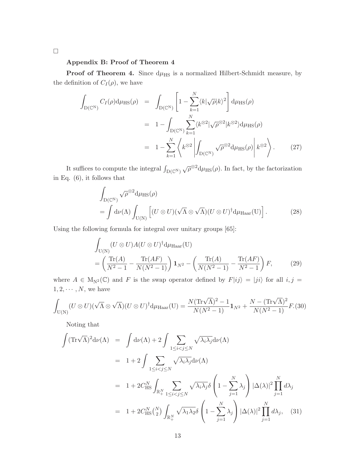### Appendix B: Proof of Theorem 4

**Proof of Theorem 4.** Since  $d\mu_{\text{HS}}$  is a normalized Hilbert-Schmidt measure, by the definition of  $C_I(\rho)$ , we have

<span id="page-14-3"></span>
$$
\int_{D(\mathbb{C}^{N})} C_{I}(\rho) d\mu_{HS}(\rho) = \int_{D(\mathbb{C}^{N})} \left[ 1 - \sum_{k=1}^{N} \langle k | \sqrt{\rho} | k \rangle^{2} \right] d\mu_{HS}(\rho)
$$
\n
$$
= 1 - \int_{D(\mathbb{C}^{N})} \sum_{k=1}^{N} \langle k^{\otimes 2} | \sqrt{\rho}^{\otimes 2} | k^{\otimes 2} \rangle d\mu_{HS}(\rho)
$$
\n
$$
= 1 - \sum_{k=1}^{N} \left\langle k^{\otimes 2} \left| \int_{D(\mathbb{C}^{N})} \sqrt{\rho}^{\otimes 2} d\mu_{HS}(\rho) \right| k^{\otimes 2} \right\rangle. \tag{27}
$$

It suffices to compute the integral  $\int_{D(\mathbb{C}^{N})} \sqrt{\rho}^{\otimes 2} d\mu_{HS}(\rho)$ . In fact, by the factorization in Eq. [\(6\)](#page-5-1), it follows that

<span id="page-14-1"></span>
$$
\int_{D(C^N)} \sqrt{\rho}^{\otimes 2} d\mu_{HS}(\rho)
$$
\n
$$
= \int d\nu(\Lambda) \int_{U(N)} \left[ (U \otimes U)(\sqrt{\Lambda} \otimes \sqrt{\Lambda})(U \otimes U)^{\dagger} d\mu_{Haar}(U) \right].
$$
\n(28)

Using the following formula for integral over unitary groups [\[65\]](#page-20-6):

$$
\int_{U(N)} (U \otimes U) A (U \otimes U)^{\dagger} d\mu_{\text{Haar}}(U) \n= \left( \frac{\text{Tr}(A)}{N^2 - 1} - \frac{\text{Tr}(AF)}{N(N^2 - 1)} \right) \mathbf{1}_{N^2} - \left( \frac{\text{Tr}(A)}{N(N^2 - 1)} - \frac{\text{Tr}(AF)}{N^2 - 1} \right) F, \tag{29}
$$

where  $A \in M_{N^2}(\mathbb{C})$  and F is the swap operator defined by  $F|ij\rangle = |ji\rangle$  for all  $i, j =$  $1, 2, \cdots, N$ , we have

<span id="page-14-2"></span>
$$
\int_{\mathcal{U}(\mathcal{N})} (U \otimes U)(\sqrt{\Lambda} \otimes \sqrt{\Lambda})(U \otimes U)^{\dagger} d\mu_{\text{Haar}}(\mathcal{U}) = \frac{N(\text{Tr}\sqrt{\Lambda})^2 - 1}{N(N^2 - 1)} \mathbf{1}_{N^2} + \frac{N - (\text{Tr}\sqrt{\Lambda})^2}{N(N^2 - 1)} F. (30)
$$

Noting that

<span id="page-14-0"></span>
$$
\int (\mathrm{Tr}\sqrt{\Lambda})^2 d\nu(\Lambda) = \int d\nu(\Lambda) + 2 \int \sum_{1 \le i < j \le N} \sqrt{\lambda_i \lambda_j} d\nu(\Lambda)
$$
  
\n
$$
= 1 + 2 \int \sum_{1 \le i < j \le N} \sqrt{\lambda_i \lambda_j} d\nu(\Lambda)
$$
  
\n
$$
= 1 + 2C_{\mathrm{HS}}^N \int_{\mathbb{R}_+^N} \sum_{1 \le i < j \le N} \sqrt{\lambda_i \lambda_j} \delta \left(1 - \sum_{j=1}^N \lambda_j\right) |\Delta(\lambda)|^2 \prod_{j=1}^N d\lambda_j
$$
  
\n
$$
= 1 + 2C_{\mathrm{HS}}^N {N \choose 2} \int_{\mathbb{R}_+^N} \sqrt{\lambda_1 \lambda_2} \delta \left(1 - \sum_{j=1}^N \lambda_j\right) |\Delta(\lambda)|^2 \prod_{j=1}^N d\lambda_j, \quad (31)
$$

 $\Box$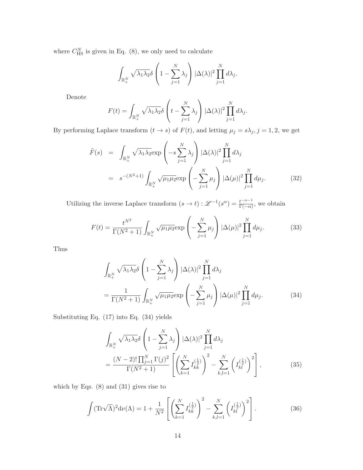where  $C_{\text{HS}}^{N}$  is given in Eq. [\(8\)](#page-5-2), we only need to calculate

$$
\int_{\mathbb{R}_+^N} \sqrt{\lambda_1 \lambda_2} \delta \left( 1 - \sum_{j=1}^N \lambda_j \right) |\Delta(\lambda)|^2 \prod_{j=1}^N d\lambda_j.
$$

Denote

$$
F(t) = \int_{\mathbb{R}_+^N} \sqrt{\lambda_1 \lambda_2} \delta \left( t - \sum_{j=1}^N \lambda_j \right) |\Delta(\lambda)|^2 \prod_{j=1}^N d\lambda_j.
$$

By performing Laplace transform  $(t \to s)$  of  $F(t)$ , and letting  $\mu_j = s\lambda_j$ ,  $j = 1, 2$ , we get

$$
\tilde{F}(s) = \int_{\mathbb{R}_+^N} \sqrt{\lambda_1 \lambda_2} \exp\left(-s \sum_{j=1}^N \lambda_j\right) |\Delta(\lambda)|^2 \prod_{j=1}^N d\lambda_j
$$
\n
$$
= s^{-(N^2+1)} \int_{\mathbb{R}_+^N} \sqrt{\mu_1 \mu_2} \exp\left(-\sum_{j=1}^N \mu_j\right) |\Delta(\mu)|^2 \prod_{j=1}^N d\mu_j. \tag{32}
$$

Utilizing the inverse Laplace transform  $(s \to t) : \mathscr{L}^{-1}(s^{\alpha}) = \frac{t^{-\alpha-1}}{\Gamma(-\alpha)}$ , we obtain

$$
F(t) = \frac{t^{N^2}}{\Gamma(N^2 + 1)} \int_{\mathbb{R}_+^N} \sqrt{\mu_1 \mu_2} \exp\left(-\sum_{j=1}^N \mu_j\right) |\Delta(\mu)|^2 \prod_{j=1}^N d\mu_j.
$$
 (33)

Thus

<span id="page-15-0"></span>
$$
\int_{\mathbb{R}_+^N} \sqrt{\lambda_1 \lambda_2} \delta \left( 1 - \sum_{j=1}^N \lambda_j \right) |\Delta(\lambda)|^2 \prod_{j=1}^N d\lambda_j
$$
\n
$$
= \frac{1}{\Gamma(N^2 + 1)} \int_{\mathbb{R}_+^N} \sqrt{\mu_1 \mu_2} \exp \left( - \sum_{j=1}^N \mu_j \right) |\Delta(\mu)|^2 \prod_{j=1}^N d\mu_j. \tag{34}
$$

Substituting Eq. [\(17\)](#page-8-1) into Eq. [\(34\)](#page-15-0) yields

$$
\int_{\mathbb{R}_{+}^{N}} \sqrt{\lambda_{1} \lambda_{2}} \delta \left( 1 - \sum_{j=1}^{N} \lambda_{j} \right) |\Delta(\lambda)|^{2} \prod_{j=1}^{N} d\lambda_{j} \n= \frac{(N-2)! \prod_{j=1}^{N} \Gamma(j)^{2}}{\Gamma(N^{2}+1)} \left[ \left( \sum_{k=1}^{N} I_{kk}^{(\frac{1}{2})} \right)^{2} - \sum_{k,l=1}^{N} \left( I_{kl}^{(\frac{1}{2})} \right)^{2} \right],
$$
\n(35)

which by Eqs. [\(8\)](#page-5-2) and [\(31\)](#page-14-0) gives rise to

<span id="page-15-1"></span>
$$
\int (\mathrm{Tr}\sqrt{\Lambda})^2 \mathrm{d}\nu(\Lambda) = 1 + \frac{1}{N^2} \left[ \left( \sum_{k=1}^N I_{kk}^{(\frac{1}{2})} \right)^2 - \sum_{k,l=1}^N \left( I_{kl}^{(\frac{1}{2})} \right)^2 \right]. \tag{36}
$$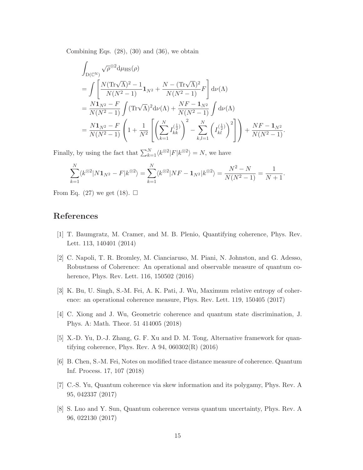Combining Eqs.  $(28)$ ,  $(30)$  and  $(36)$ , we obtain

$$
\int_{D(\mathbb{C}^{N})} \sqrt{\rho}^{\otimes 2} d\mu_{HS}(\rho)
$$
\n
$$
= \int \left[ \frac{N(\text{Tr}\sqrt{\Lambda})^{2} - 1}{N(N^{2} - 1)} \mathbf{1}_{N^{2}} + \frac{N - (\text{Tr}\sqrt{\Lambda})^{2}}{N(N^{2} - 1)} F \right] d\nu(\Lambda)
$$
\n
$$
= \frac{N\mathbf{1}_{N^{2}} - F}{N(N^{2} - 1)} \int (\text{Tr}\sqrt{\Lambda})^{2} d\nu(\Lambda) + \frac{NF - \mathbf{1}_{N^{2}}}{N(N^{2} - 1)} \int d\nu(\Lambda)
$$
\n
$$
= \frac{N\mathbf{1}_{N^{2}} - F}{N(N^{2} - 1)} \left( 1 + \frac{1}{N^{2}} \left[ \left( \sum_{k=1}^{N} I_{kk}^{(\frac{1}{2})} \right)^{2} - \sum_{k,l=1}^{N} \left( I_{kl}^{(\frac{1}{2})} \right)^{2} \right] \right) + \frac{NF - \mathbf{1}_{N^{2}}}{N(N^{2} - 1)}.
$$

Finally, by using the fact that  $\sum_{k=1}^{N} \langle k^{\otimes 2} | F | k^{\otimes 2} \rangle = N$ , we have

$$
\sum_{k=1}^{N} \langle k^{\otimes 2} | N \mathbf{1}_{N^2} - F | k^{\otimes 2} \rangle = \sum_{k=1}^{N} \langle k^{\otimes 2} | NF - \mathbf{1}_{N^2} | k^{\otimes 2} \rangle = \frac{N^2 - N}{N(N^2 - 1)} = \frac{1}{N+1}.
$$

From Eq. [\(27\)](#page-14-3) we get [\(18\)](#page-8-0).  $\Box$ 

## <span id="page-16-0"></span>References

- [1] T. Baumgratz, M. Cramer, and M. B. Plenio, Quantifying coherence, Phys. Rev. Lett. 113, 140401 (2014)
- [2] C. Napoli, T. R. Bromley, M. Cianciaruso, M. Piani, N. Johnston, and G. Adesso, Robustness of Coherence: An operational and observable measure of quantum coherence, Phys. Rev. Lett. 116, 150502 (2016)
- [3] K. Bu, U. Singh, S.-M. Fei, A. K. Pati, J. Wu, Maximum relative entropy of coherence: an operational coherence measure, Phys. Rev. Lett. 119, 150405 (2017)
- [4] C. Xiong and J. Wu, Geometric coherence and quantum state discrimination, J. Phys. A: Math. Theor. 51 414005 (2018)
- [5] X.-D. Yu, D.-J. Zhang, G. F. Xu and D. M. Tong, Alternative framework for quantifying coherence, Phys. Rev. A  $94, 060302(R)$  (2016)
- <span id="page-16-1"></span>[6] B. Chen, S.-M. Fei, Notes on modified trace distance measure of coherence. Quantum Inf. Process. 17, 107 (2018)
- [7] C.-S. Yu, Quantum coherence via skew information and its polygamy, Phys. Rev. A 95, 042337 (2017)
- [8] S. Luo and Y. Sun, Quantum coherence versus quantum uncertainty, Phys. Rev. A 96, 022130 (2017)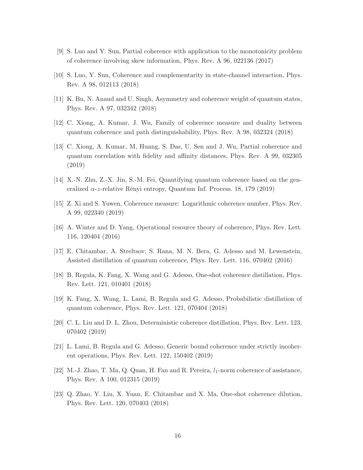- [9] S. Luo and Y. Sun, Partial coherence with application to the monotonicity problem of coherence involving skew information, Phys. Rev. A 96, 022136 (2017)
- [10] S. Luo, Y. Sun, Coherence and complementarity in state-channel interaction, Phys. Rev. A 98, 012113 (2018)
- [11] K. Bu, N. Anand and U. Singh, Asymmetry and coherence weight of quantum states, Phys. Rev. A 97, 032342 (2018)
- [12] C. Xiong, A. Kumar, J. Wu, Family of coherence measure and duality between quantum coherence and path distinguishability, Phys. Rev. A 98, 032324 (2018)
- [13] C. Xiong, A. Kumar, M, Huang, S. Das, U. Sen and J. Wu, Partial coherence and quantum correlation with fidelity and affinity distances, Phys. Rev. A 99, 032305 (2019)
- <span id="page-17-0"></span>[14] X.-N. Zhu, Z.-X. Jin, S.-M. Fei, Quantifying quantum coherence based on the generalized  $\alpha$ -z-relative Rényi entropy, Quantum Inf. Process. 18, 179 (2019)
- <span id="page-17-1"></span>[15] Z. Xi and S. Yuwen, Coherence measure: Logarithmic coherence number, Phys. Rev. A 99, 022340 (2019)
- [16] A. Winter and D. Yang, Operational resource theory of coherence, Phys. Rev. Lett. 116, 120404 (2016)
- [17] E. Chitambar, A. Streltsov, S. Rana, M. N. Bera, G. Adesso and M. Lewenstein, Assisted distillation of quantum coherence, Phys. Rev. Lett. 116, 070402 (2016)
- [18] B. Regula, K. Fang, X. Wang and G. Adesso, One-shot coherence distillation, Phys. Rev. Lett. 121, 010401 (2018)
- [19] K. Fang, X. Wang, L. Lami, B. Regula and G. Adesso, Probabilistic distillation of quantum coherence, Phys. Rev. Lett. 121, 070404 (2018)
- [20] C. L. Liu and D. L. Zhou, Deterministic coherence distillation, Phys. Rev. Lett. 123, 070402 (2019)
- [21] L. Lami, B. Regula and G. Adesso, Generic bound coherence under strictly incoherent operations, Phys. Rev. Lett. 122, 150402 (2019)
- <span id="page-17-2"></span>[22] M.-J. Zhao, T. Ma, Q. Quan, H. Fan and R. Pereira,  $l_1$ -norm coherence of assistance, Phys. Rev. A 100, 012315 (2019)
- [23] Q. Zhao, Y. Liu, X. Yuan, E. Chitambar and X. Ma, One-shot coherence dilution, Phys. Rev. Lett. 120, 070403 (2018)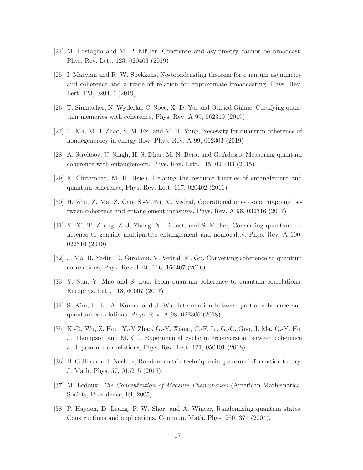- <span id="page-18-1"></span>[24] M. Lostaglio and M. P. Müller, Coherence and asymmetry cannot be broadcast, Phys. Rev. Lett. 123, 020403 (2019)
- [25] I. Marvian and R. W. Spekkens, No-broadcasting theorem for quantum asymmetry and coherence and a trade-off relation for approximate broadcasting, Phys. Rev. Lett. 123, 020404 (2019)
- <span id="page-18-3"></span><span id="page-18-2"></span>[26] T. Simnacher, N. Wyderka, C. Spee, X.-D. Yu, and Otfried Gühne, Certifying quantum memories with coherence, Phys. Rev. A 99, 062319 (2019)
- <span id="page-18-4"></span>[27] T. Ma, M.-J. Zhao, S.-M. Fei, and M.-H. Yung, Necessity for quantum coherence of nondegeneracy in energy flow, Phys. Rev. A 99, 062303 (2019)
- [28] A. Streltsov, U. Singh, H. S. Dhar, M. N. Bera, and G. Adesso, Measuring quantum coherence with entanglement, Phys. Rev. Lett. 115, 020403 (2015)
- [29] E. Chitambar, M. H. Hsieh, Relating the resource theories of entanglement and quantum coherence, Phys. Rev. Lett. 117, 020402 (2016)
- [30] H. Zhu, Z. Ma, Z. Cao, S.-M.Fei, V. Vedral, Operational one-to-one mapping between coherence and entanglement measures, Phys. Rev. A 96, 032316 (2017)
- [31] Y. Xi, T. Zhang, Z.-J. Zheng, X. Li-Jost, and S.-M. Fei, Converting quantum coherence to genuine multipartite entanglement and nonlocality, Phys. Rev. A 100, 022310 (2019)
- [32] J. Ma, B. Yadin, D. Girolami, V. Vedral, M. Gu, Converting coherence to quantum correlations, Phys. Rev. Lett. 116, 160407 (2016)
- [33] Y. Sun, Y. Mao and S. Luo, From quantum coherence to quantum correlations, Europhys. Lett. 118, 60007 (2017)
- <span id="page-18-5"></span>[34] S. Kim, L. Li, A. Kumar and J. Wu, Interrelation between partial coherence and quantum correlations, Phys. Rev. A 98, 022306 (2018)
- [35] K.-D. Wu, Z. Hou, Y.-Y Zhao, G.-Y. Xiang, C.-F. Li, G.-C. Guo, J. Ma, Q.-Y. He, J. Thompson and M. Gu, Experimental cyclic interconversion between coherence and quantum correlations, Phys. Rev. Lett. 121, 050401 (2018)
- <span id="page-18-6"></span><span id="page-18-0"></span>[36] B. Collins and I. Nechita, Random matrix techniques in quantum information theory, J. Math. Phys. 57, 015215 (2016).
- <span id="page-18-7"></span>[37] M. Ledoux, The Concentration of Measure Phenomenon (American Mathematical Society, Providence, RI, 2005).
- [38] P. Hayden, D. Leung, P. W. Shor, and A. Winter, Randomizing quantum states: Constructions and applications, Commun. Math. Phys. 250, 371 (2004).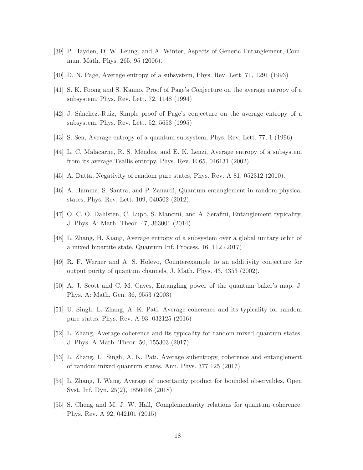- <span id="page-19-2"></span><span id="page-19-0"></span>[39] P. Hayden, D. W. Leung, and A. Winter, Aspects of Generic Entanglement, Commun. Math. Phys. 265, 95 (2006).
- [40] D. N. Page, Average entropy of a subsystem, Phys. Rev. Lett. 71, 1291 (1993)
- <span id="page-19-3"></span>[41] S. K. Foong and S. Kanno, Proof of Page's Conjecture on the average entropy of a subsystem, Phys. Rev. Lett. 72, 1148 (1994)
- [42] J. Sánchez.-Ruiz, Simple proof of Page's conjecture on the average entropy of a subsystem, Phys. Rev. Lett. 52, 5653 (1995)
- [43] S. Sen, Average entropy of a quantum subsystem, Phys. Rev. Lett. 77, 1 (1996)
- [44] L. C. Malacarne, R. S. Mendes, and E. K. Lenzi, Average entropy of a subsystem from its average Tsallis entropy, Phys. Rev. E 65, 046131 (2002).
- [45] A. Datta, Negativity of random pure states, Phys. Rev. A 81, 052312 (2010).
- [46] A. Hamma, S. Santra, and P. Zanardi, Quantum entanglement in random physical states, Phys. Rev. Lett. 109, 040502 (2012).
- [47] O. C. O. Dahlsten, C. Lupo, S. Mancini, and A. Serafini, Entanglement typicality, J. Phys. A: Math. Theor. 47, 363001 (2014).
- <span id="page-19-1"></span>[48] L. Zhang, H. Xiang, Average entropy of a subsystem over a global unitary orbit of a mixed bipartite state, Quantum Inf. Process. 16, 112 (2017)
- <span id="page-19-4"></span>[49] R. F. Werner and A. S. Holevo, Counterexample to an additivity conjecture for output purity of quantum channels, J. Math. Phys. 43, 4353 (2002).
- <span id="page-19-5"></span>[50] A. J. Scott and C. M. Caves, Entangling power of the quantum baker's map, J. Phys. A: Math. Gen. 36, 9553 (2003)
- <span id="page-19-6"></span>[51] U. Singh, L. Zhang, A. K. Pati, Average coherence and its typicality for random pure states. Phys. Rev. A 93, 032125 (2016)
- <span id="page-19-7"></span>[52] L. Zhang, Average coherence and its typicality for random mixed quantum states, J. Phys. A Math. Theor. 50, 155303 (2017)
- <span id="page-19-8"></span>[53] L. Zhang, U. Singh, A. K. Pati, Average subentropy, coherence and entanglement of random mixed quantum states, Ann. Phys. 377 125 (2017)
- <span id="page-19-9"></span>[54] L. Zhang, J. Wang, Average of uncertainty product for bounded observables, Open Syst. Inf. Dyn. 25(2), 1850008 (2018)
- [55] S. Cheng and M. J. W. Hall, Complementarity relations for quantum coherence, Phys. Rev. A 92, 042101 (2015)